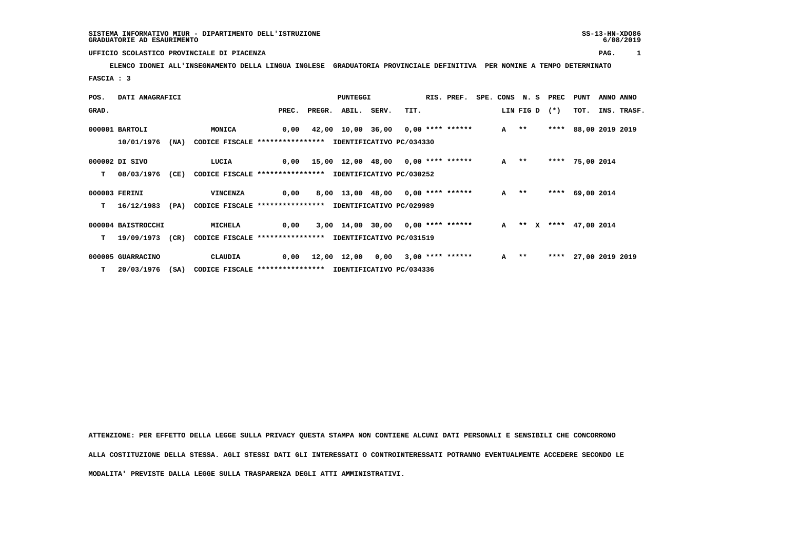## **UFFICIO SCOLASTICO PROVINCIALE DI PIACENZA PAG. 1**

 **ELENCO IDONEI ALL'INSEGNAMENTO DELLA LINGUA INGLESE GRADUATORIA PROVINCIALE DEFINITIVA PER NOMINE A TEMPO DETERMINATO FASCIA : 3**

| POS.  | DATI ANAGRAFICI    |      |                                                          |       | PUNTEGGI |                                               |       |      | RIS. PREF. |        | SPE. CONS N. S PREC | PUNT                   | ANNO ANNO   |
|-------|--------------------|------|----------------------------------------------------------|-------|----------|-----------------------------------------------|-------|------|------------|--------|---------------------|------------------------|-------------|
| GRAD. |                    |      |                                                          | PREC. |          | PREGR. ABIL.                                  | SERV. | TIT. |            |        | LIN FIG D (*)       | тот.                   | INS. TRASF. |
|       | $000001$ BARTOLI   |      | MONICA                                                   | 0,00  |          | 42,00 10,00 36,00 0,00 **** ******            |       |      |            | $A$ ** | ****                | 88,00 2019 2019        |             |
|       | 10/01/1976         | (NA) | CODICE FISCALE **************** IDENTIFICATIVO PC/034330 |       |          |                                               |       |      |            |        |                     |                        |             |
|       | 000002 DI SIVO     |      | LUCIA                                                    |       |          | 0,00  15,00  12,00  48,00  0,00  ****  ****** |       |      |            | $A$ ** |                     | **** 75,00 2014        |             |
| т     | 08/03/1976         | (CE) | CODICE FISCALE **************** IDENTIFICATIVO PC/030252 |       |          |                                               |       |      |            |        |                     |                        |             |
|       | 000003 FERINI      |      | VINCENZA                                                 | 0,00  |          | 8,00 13,00 48,00 0,00 **** ******             |       |      |            | A **   |                     | **** 69,00 2014        |             |
| т     | 16/12/1983         | (PA) | CODICE FISCALE **************** IDENTIFICATIVO PC/029989 |       |          |                                               |       |      |            |        |                     |                        |             |
|       | 000004 BAISTROCCHI |      | MICHELA                                                  | 0,00  |          | 3,00 14,00 30,00 0,00 **** ******             |       |      |            |        |                     | A ** X **** 47,00 2014 |             |
| т     | 19/09/1973         | (CR) | CODICE FISCALE **************** IDENTIFICATIVO PC/031519 |       |          |                                               |       |      |            |        |                     |                        |             |
|       | 000005 GUARRACINO  |      | CLAUDIA                                                  | 0,00  |          | 12,00 12,00 0,00 3,00 **** ******             |       |      |            | $A$ ** | ****                | 27,00 2019 2019        |             |
|       | 20/03/1976 (SA)    |      | CODICE FISCALE **************** IDENTIFICATIVO PC/034336 |       |          |                                               |       |      |            |        |                     |                        |             |

 **ATTENZIONE: PER EFFETTO DELLA LEGGE SULLA PRIVACY QUESTA STAMPA NON CONTIENE ALCUNI DATI PERSONALI E SENSIBILI CHE CONCORRONO ALLA COSTITUZIONE DELLA STESSA. AGLI STESSI DATI GLI INTERESSATI O CONTROINTERESSATI POTRANNO EVENTUALMENTE ACCEDERE SECONDO LE MODALITA' PREVISTE DALLA LEGGE SULLA TRASPARENZA DEGLI ATTI AMMINISTRATIVI.**